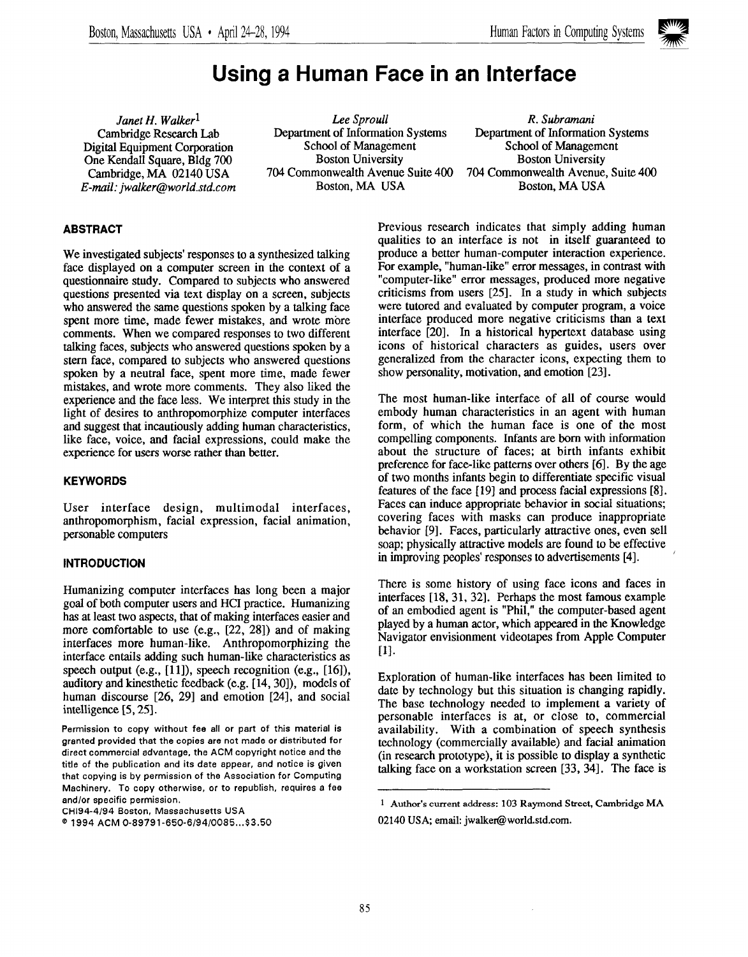

# Using a Human Face in an Interface

E-mail: jwalker@world.std.com

*Janet H. Walker*<sup>1</sup> *Lee Sproull Lee Sproull R. Subramani*<br>Cambridge Research Lab Department of Information Systems Department of Information Systems Department of Information Systems Department of Information Systems School of Management Digital Equipment Corporation School of Management School of Management School of Management One Kendall Square. Bldg 700 Boston University Boston University One Kendall Square, Bldg 700 Boston University<br>
Cambridge, MA 02140 USA 704 Commonwealth Avenue Suite 400

monwealth Avenue Suite 400 704 Commonwealth Avenue, Suite 400 Roston, MA USA 704 Commonwealth Avenue, Suite 400

# ABSTRACT

We investigated subjects' responses to a synthesized talking face displayed on a computer screen in the context of a questionnaire study. Compared to subjects who answered questions presented via text display on a screen, subjects who answered the same questions spoken by a talking face spent more time, made fewer mistakes, and wrote more comments. When we compared responses to two different talking faces, subjects who answered questions spoken by a stern face, compared to subjects who answered questions spoken by a neutral face, spent more time, made fewer mistakes, and wrote more comments. They also liked the experience and the face less. We interpret this study in the light of desires to anthropomorphize computer interfaces and suggest that incautiously adding human characteristics, like face, voice, and facial expressions, could make the experience for users worse rather than better.

## **KEYWORDS**

User interface design, multimodal interfaces, anthropomorphism, facial expression, facial animation, personable computers

## **INTRODUCTION**

Humanizing computer interfaces has long been a major goal of both computer users and HCI practice. Humanizing has at least two aspects, that of making interfaces easier and more comfortable to use  $(e.g., [22, 28])$  and of making interfaces more human-like. Anthropomorphizing the interface entails adding such human-like characteristics as speech output (e.g.,  $[11]$ ), speech recognition (e.g.,  $[16]$ ), auditory and kinesthetic feedback (e.g. [14, 30]), models of human discourse [26, 29] and emotion [24], and social intelligence [5, 25].

Permission to copy without fee all or part of this material is granted provided that the copies are not made or distributed for direct commercial advantage, the ACM copyright notice and the title of the publication and its date appear, and notice is given that copying is by permission of the Association for Computing Machinery. To copy otherwise, or to republish, requires a fae and/or specific permission.

CH194-4/94 Boston, Massachusetts USA

Previous research indicates that simply adding human qualities to an interface is not in itself guaranteed to produce a better human-computer interaction experience. For example, "human-like" error messages, in contrast with "computer-like" error messages, produced more negative criticisms from users [251. In a study in which subjects were tutored and evaluated by computer program, a voice interface produced more negative criticisms than a text interface [20]. In a historical hypertext database using icons of historical characters as guides, users over generalized from the character icons, expecting them to show personality, motivation, and emotion [23].

The most human-like interface of all of course would embody human characteristics in an agent with human form, of which the human face is one of the most compelling components. Infants are born with information about the structure of faces; at birth infants exhibit preference for face-like patterns over others [6]. By the age of two months infants begin to differentiate specific visual features of the face [19] and process facial expressions [8]. Faces can induce appropriate behavior in social situation covering faces with masks can produce inappropriate behavior [9]. Faces, particularly attractive ones, even sell soap; physically attractive models are found to be effective in improving peoples' responses to advertisements [4]. '

There is some history of using face icons and faces in interfaces [18, 31, 32]. Perhaps the most famous example of an embodied agent is "Phil," the computer-based agent played by a human actor, which appeared in the Knowledge Navigator envisionment videotapes from Apple Computer [1].

Exploration of human-like interfaces has been limited to date by technology but this situation is changing rapidly. The base technology needed to implement a variety of personable interfaces is at, or close to, commercial availability. With a combination of speech synthesis technology (commercially available) and facial animation (in research prototype), it is possible to display a synthetic talking face on a workstation screen [33, 34]. The face is

<sup>01994</sup> ACM 0-89791 -650-6 /94/0085 . ..\$3.50

<sup>1</sup> Author's current address: 103 Raymond Street, Cambridge MA 02140 USA: email: jwalker@world.std.com.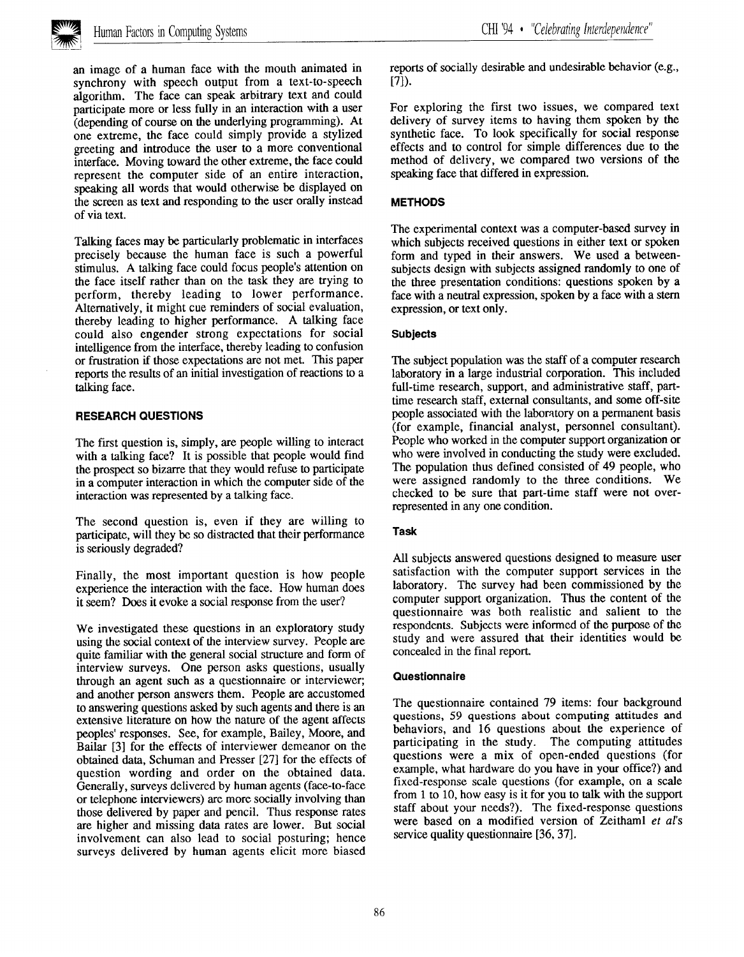

an image of a human face with the mouth animated in synchrony with speech output from a text-to-speech algorithm. The face can speak arbitrary text and could participate more or less fully in an interaction with a user (depending of course on the underlying programming). At one extreme, the face could simply provide a stylized greeting and introduce the user to a more conventional interface. Moving toward the other extreme, the face could represent the computer side of an entire interaction, speaking all words that would otherwise be displayed on the screen as text and responding to the user orally instead of via text.

Talking faces may be particularly problematic in interfaces precisely because the human face is such a powerful stimulus, A talking face could focus people's attention on the face itself rather than on the task they are trying to perform, thereby leading to lower performance. Alternatively, it might cue reminders of social evaluation, thereby leading to higher performance. A talking face could also engender strong expectations for social intelligence from the interface, thereby leading to confusion or frustration if those expectations are not met. This paper reports the results of an initial investigation of reactions to a talking face.

## RESEARCH QUESTIONS

The first question is, simply, are people willing to interact with a talking face? It is possible that people would find the prospect so bizarre that they would refuse to participate in a computer interaction in which the computer side of the interaction was represented by a talking face.

The second question is, even if they are willing to participate, will they be so distracted that their performance is seriously degraded?

Finally, the most important question is how people experience the interaction with the face. How human does it seem? Does it evoke a social response from the user?

We investigated these questions in an exploratory study using the social context of the interview survey. People are quite familiar with the general social structure and form of interview surveys. One person asks questions, usually through an agent such as a questionnaire or interviewer; and another person answers them. People are accustomed to answering questions asked by such agents and there is an extensive literature on how the nature of the agent affects peoples' responses. See, for example, Bailey, Moore, and Bailar [3] for the effects of interviewer demeanor on the obtained data, Schuman and Presser [27] for the effects of question wording and order on the obtained data. Generally, surveys delivered by human agents (face-to-face or telephone interviewers) are more socially involving than those delivered by paper and pencil. Thus response rates are higher and missing data rates are lower. But social involvement can also lead to social posturing; hence surveys delivered by human agents elicit more biased reports of socially desirable and undesirable behavior (e.g., [7]).

For exploring the first two issues, we compared text delivery of survey items to having them spoken by the synthetic face. To look specifically for social response effects and to control for simple differences due to the method of delivery, we compared two versions of the speaking face that differed in expression.

## **METHODS**

The experimental context was a computer-based survey in which subjects received questions in either text or spoken form and typed in their answers. We used a betweensubjects design with subjects assigned randomly to one of the three presentation conditions: questions spoken by a face with a neutral expression, spoken by a face with a stem expression, or text only.

## **Subjects**

The subject population was the staff of a computer research laboratory in a large industrial corporation. This included full-time research, support, and administrative staff, parttime research staff, external consultants, and some off-site people associated with the laboratory on a permanent basis (for example, financial analyst, personnel consultant). People who worked in the computer support organization or who were involved in conducting the study were excluded. The population thus defined consisted of 49 people, who were assigned randomly to the three conditions. We checked to be sure that part-time staff were not overrepresented in any one condition.

## Task

All subjects answered questions designed to measure user satisfaction with the computer support services in the laboratory. The survey had been commissioned by the computer support organization. Thus the content of the questionnaire was both realistic and salient to the respondents. Subjects were informed of the purpose of the study and were assured that their identities would be concealed in the final report.

#### Questionnaire

The questionnaire contained 79 items: four background questions, 59 questions about computing attitudes and behaviors, and 16 questions about the experience of participating in the study. The computing attitudes questions were a mix of open-ended questions (for example, what hardware do you have in your office?) and fixed-response scale questions (for example, on a scale from 1 to 10, how easy is it for you to talk with the support staff about your needs?). The fixed-response questions were based on a modified version of Zeithaml et al's service quality questionnaire [36, 37].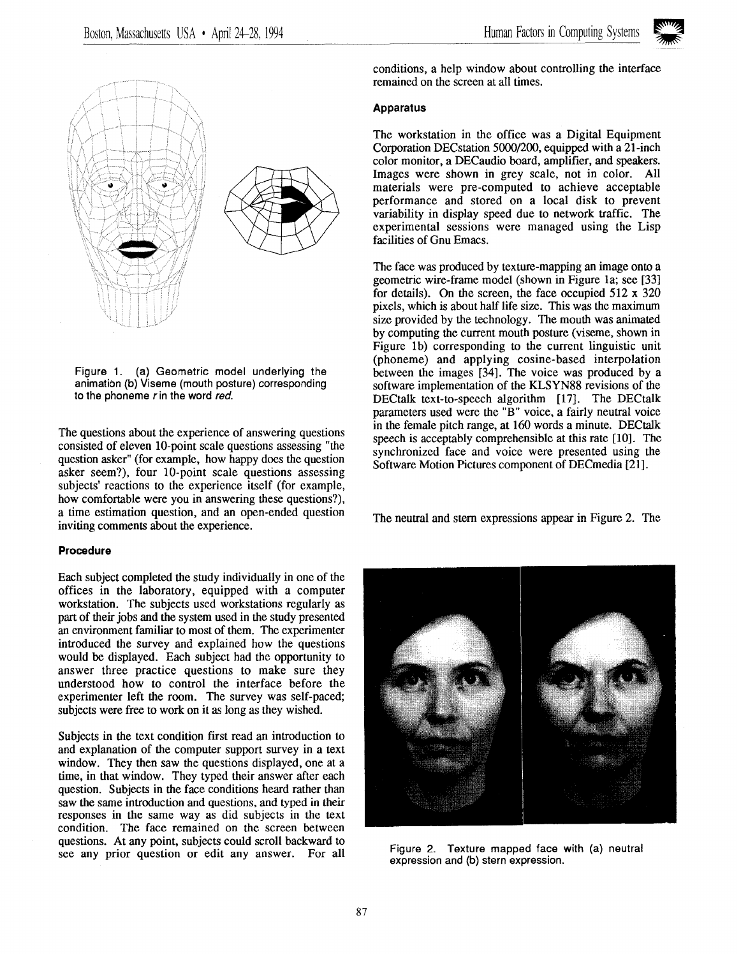



Figure 1. (a) Geometric model underlying the animation (b) Viseme (mouth posture) corresponding to the phoneme  $r$  in the word red.

The questions about the experience of answering questions consisted of eleven 10-point scale questions assessing "the question asker" (for example, how happy does the question asker seem?), four 10-point scale questions assessing subjects' reactions to the experience itself (for example, how comfortable were you in answering these questions?), a time estimation question, and an open-ended question inviting comments about the experience.

## Procedure

Each subject completed the study individually in one of the offices in the laboratory, equipped with a computer workstation. The subjects used workstations regularly as part of their jobs and the system used in the study presented an environment familiar to most of them. The experimenter introduced the survey and explained how the questions would be displayed. Each subject had the opportunity to answer three practice questions to make sure they understood how to control the interface before the experimenter left the room. The survey was self-paced; subjects were free to work on it as long as they wished.

Subjects in the text condition first read an introduction to and explanation of the computer support survey in a text window. They then saw the questions displayed, one at a time, in that window, They typed their answer after each question. Subjects in the face conditions heard rather than saw the same introduction and questions, and typed in their responses in the same way as did subjects in the text condition. The face remained on the screen between questions. At any point, subjects could scroll backward to see any prior question or edit any answer. For all Figure 2. Texture mapped face with (a) neutral

conditions, a help window about controlling the interface remained on the screen at all times.

## **Apparatus**

The workstation in the office was a Digital Equipment Corporation DECstation 5000/200, equipped with a 21-inch color monitor, a DECaudio board, amplifier, and speakers. Images were shown in grey scale, not in color. All materials were pre-computed to achieve acceptable performance and stored on a local disk to prevent variability in display speed due to network traffic. The experimental sessions were managed using the Lisp facilities of Gnu Emacs.

The face was produced by texture-mapping an image onto a geometric wire-frame model (shown in Figure 1a; see [33] for details). On the screen, the face occupied 512 x 320 pixels, which is about half life size. This was the maximum size provided by the technology. The mouth was animated by computing the current mouth posture (viseme, shown in Figure lb) corresponding to the current linguistic unit (phoneme) and applying cosine-based interpolation between the images [34]. The voice was produced by a software implementation of the KLSYN88 revisions of the DECtalk text-to-speech algorithm [17]. The DECtalk parameters used were the "B" voice, a fairly neutral voice in the female pitch range, at 160 words a minute. DECtalk speech is acceptably comprehensible at this rate [10]. The synchronized face and voice were presented using the Software Motion Pictures component of DECmedia [21].

The neutral and stem expressions appear in Figure 2. The



expression and (b) stern expression.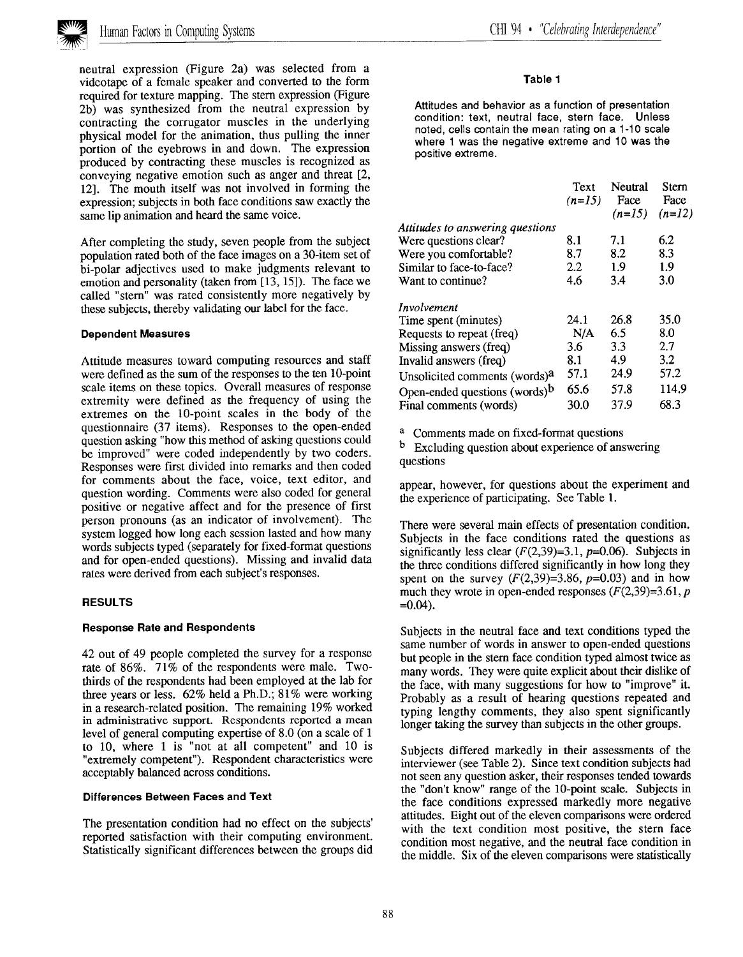

neutral expression (Figure 2a) was selected from a videotape of a female speaker and converted to the form required for texture mapping. The stern expression (Figure 2b) was synthesized from the neutral expression by contracting the corrugator muscles in the underlying physical model for the animation, thus pulling the inner portion of the eyebrows in and down. The expression produced by contracting these muscles is recognized as conveying negative emotion such as anger and threat [2, 12]. The mouth itself was not involved in forming the expression; subjects in both face conditions saw exactly the same lip animation and heard the same voice.

After completing the study, seven people from the subject population rated both of the face images on a 30-item set of hi-polar adjectives used to make judgments relevant to emotion and personality (taken from [13, 15]). The face we called "stem" was rated consistently more negatively by these subjects, thereby validating our label for the face.

#### Dependent Measures

Attitude measures toward computing resources and staff were defined as the sum of the responses to the ten 10-point scale items on these topics. Overall measures of response extremity were defined as the frequency of using the extremes on the 10-point scales in the body of the questionnaire (37 items). Responses to the open-ended question asking "how this method of asking questions could be improved" were coded independently by two coders. Responses were first divided into remarks and then coded for comments about the face, voice, text editor, and question wording. Comments were also coded for general positive or negative affect and for the presence of first person pronouns (as an indicator of involvement). The system logged how long each session lasted and how many words subjects typed (separately for fixed-format questions and for open-ended questions). Missing and invalid data rates were derived from each subject's responses.

#### RESULTS

#### Response Rate and Respondents

42 out of 49 people completed the survey for a response rate of 86%. 71% of the respondents were male. Twothirds of the respondents had been employed at the lab for three years or less. 62% held a Ph.D.; 81% were working in a research-related position. The remaining 19% worked in administrative support. Respondents reported a mean level of general computing expertise of 8.0 (on a scale of 1 to 10, where 1 is "not at all competent" and 10 is "extremely competent"). Respondent characteristics were acceptably balanced across conditions.

#### Differences Between Faces and Text

The presentation condition had no effect on the subjects' reported satisfaction with their computing environment. Statistically significant differences between the groups did

#### Table 1

Attitudes and behavior as a function of presentation condition: text, neutral face, stern face. Unless noted, cells contain the mean rating on a 1-10 scale where 1 was the negative extreme and 10 was the positive extreme.

|                                           | Text<br>$(n=15)$ | Neutral<br>Face<br>$(n=15)$ | Stern<br>Face<br>$(n=12)$ |
|-------------------------------------------|------------------|-----------------------------|---------------------------|
| Attitudes to answering questions          |                  |                             |                           |
| Were questions clear?                     | 8.1              | 7.1                         | 6.2                       |
| Were you comfortable?                     | 8.7              | 8.2                         | 8.3                       |
| Similar to face-to-face?                  | 2.2              | 1.9                         | 1.9                       |
| Want to continue?                         | 4.6              | 3.4                         | 3.0                       |
| Involvement                               |                  |                             |                           |
| Time spent (minutes)                      | 24.1             | 26.8                        | 35.0                      |
| Requests to repeat (freq)                 | N/A              | 6.5                         | 8.0                       |
| Missing answers (freq)                    | 3.6              | 3.3                         | 2.7                       |
| Invalid answers (freq)                    | 8.1              | 4.9                         | 3.2                       |
| Unsolicited comments (words) <sup>a</sup> | 57.1             | 24.9                        | 57.2                      |
| Open-ended questions (words) <sup>b</sup> | 65.6             | 57.8                        | 114.9                     |
| Final comments (words)                    | 30.0             | 37.9                        | 68.3                      |

a Comments made on fixed-format questions

 $<sup>b</sup>$  Excluding question about experience of answering</sup> questions

appear, however, for questions about the experiment and the experience of participating. See Table 1.

There were several main effects of presentation condition. Subjects in the face conditions rated the questions as significantly less clear  $(F(2,39)=3.1, p=0.06)$ . Subjects in the three conditions differed significantly in how long they spent on the survey  $(F(2,39)=3.86, p=0.03)$  and in how much they wrote in open-ended responses  $(F(2,39)=3.61, p$  $=0.04$ ).

Subjects in the neutral face and text conditions typed the same number of words in answer to open-ended questions but people in the stem face condition typed almost twice as many words. They were quite explicit about their dislike of the face, with many suggestions for how to "improve" it. Probably as a result of hearing questions repeated and typing lengthy comments, they also spent significantly longer taking the survey than subjects in the other groups.

Subjects differed markedly in their assessments of the interviewer (see Table 2). Since text condition subjects had not seen any question asker, their responses tended towards the "don't know" range of the 10-point scale. Subjects in the face conditions expressed markedly more negative attitudes. Eight out of the eleven comparisons were ordered with the text condition most positive, the stern face condition most negative, and the neutral face condition in the middle. Six of the eleven comparisons were statistically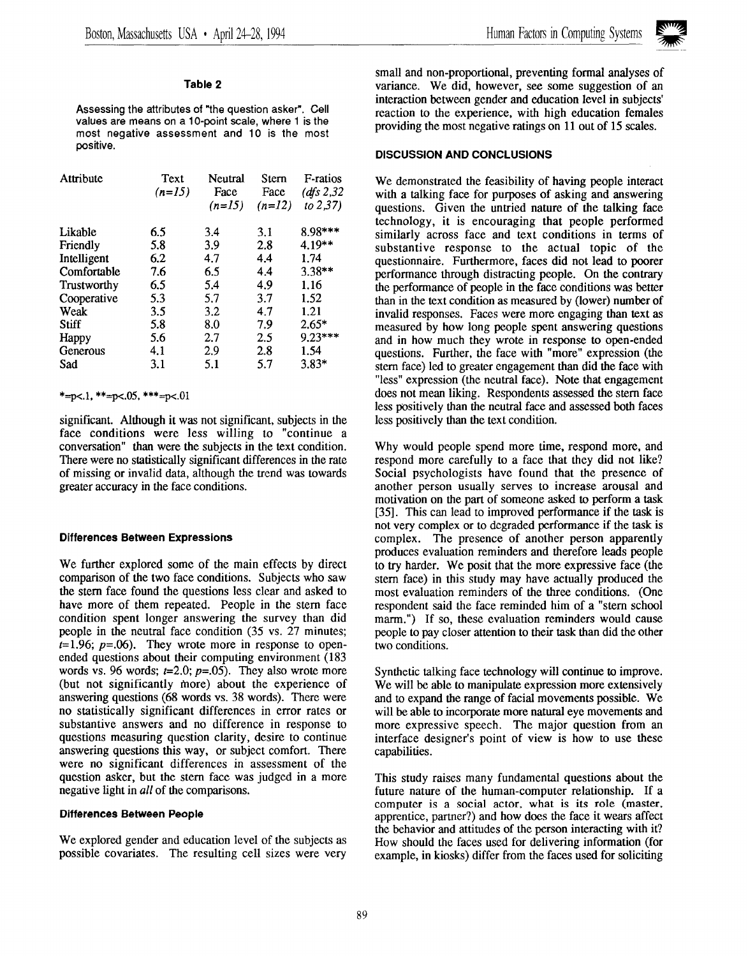

## Table 2

Assessing the attributes of "the question asker". Cell values are means on a 10-point scale, where 1 is the most negative assessment and 10 is the most positive.

| Attribute   | Text<br>$(n=15)$ | Neutral<br>Face<br>$(n=15)$ | Stern<br>Face<br>$(n=12)$ | F-ratios<br>(dfs $2,32$<br>to $2,37$ ) |
|-------------|------------------|-----------------------------|---------------------------|----------------------------------------|
| Likable     | 6.5              | 3.4                         | 3.1                       | 8.98***                                |
| Friendly    | 5.8              | 3.9                         | 2.8                       | 4.19**                                 |
| Intelligent | 6.2              | 4.7                         | 4.4                       | 1.74                                   |
| Comfortable | 7.6              | 6.5                         | 4.4                       | $3.38**$                               |
| Trustworthy | 6.5              | 5.4                         | 4.9                       | 1.16                                   |
| Cooperative | 5.3              | 5.7                         | 3.7                       | 1.52                                   |
| Weak        | 3.5              | 3.2                         | 4.7                       | 1.21                                   |
| Stiff       | 5.8              | 8.0                         | 7.9                       | $2.65*$                                |
| Happy       | 5.6              | 2.7                         | 2.5                       | $9.23***$                              |
| Generous    | 4.1              | 2.9                         | 2.8                       | 1.54                                   |
| Sad         | 3.1              | 5.1                         | 5.7                       | $3.83*$                                |

## \*=p<.1, \*\*=p<.05, \*\*\*=p<.01

significant. Although it was not significant, subjects in the face conditions were less willing to "continue a conversation" than were the subjects in the text condition. There were no statistically significant differences in the rate of missing or invalid data, although the trend was towards greater accuracy in the face conditions.

## Differences Between Expressions

We further explored some of the main effects by direct comparison of the two face conditions. Subjects who saw the stem face found the questions less clear and asked to have more of them repeated. People in the stem face condition spent longer answering the survey than did people in the neutral face condition (35 vs. 27 minutes;  $t=1.96$ ;  $p=.06$ ). They wrote more in response to openended questions about their computing environment (183 words vs. 96 words;  $t=2.0$ ;  $p=.05$ ). They also wrote more (but not significantly more) about the experience of answering questions (68 words vs. 38 words). There were no statistically significant differences in error rates or substantive answers and no difference in response to questions measuring question clarity, desire to continue answering questions this way, or subject comfort. There were no significant differences in assessment of the question asker, but the stern face was judged in a more negative light in *all* of the comparisons.

#### Differences Between People

We explored gender and education level of the subjects as possible covariates. The resulting cell sizes were very

small and non-proportional, preventing formal analyses of variance. We did, however, see some suggestion of an interaction between gender and education level in subjects' reaction to the experience, with high education females providing the most negative ratings on 11 out of 15 scales.

## DISCUSSION AND CONCLUSIONS

We demonstrated the feasibility of having people interact with a talking face for purposes of asking and answering questions. Given the untried nature of the talking face technology, it is encouraging that people performed similarly across face and text conditions in terms of substantive response to the actual topic of the questionnaire. Furthermore, faces did not lead to poorer performance through distracting people. On the contrary the performance of people in the face conditions was better than in the text condition as measured by (lower) number of invalid responses. Faces were more engaging than text as measured by how long people spent answering questions and in how much they wrote in response to open-ended questions. Further, the face with "more" expression (the stem face) led to greater engagement than did the face with "less" expression (the neutral face). Note that engagement does not mean liking. Respondents assessed the stem face less positively than the neutral face and assessed both faces less positively than the text condition.

Why would people spend more time, respond more, and respond more carefully to a face that they did not like? Social psychologists have found that the presence of another person usually serves to increase arousal and motivation on the part of someone asked to perform a task [35]. This can lead to improved performance if the task is not very complex or to degraded performance if the task is complex. The presence of another person apparently produces evaluation reminders and therefore leads people to try harder. We posit that the more expressive face (the stem face) in this study may have actually produced the most evaluation reminders of the three conditions. (One respondent said the face reminded him of a "stem school marm.") If so, these evaluation reminders would cause people to pay closer attention to their task than did the other two conditions.

Synthetic talking face technology will continue to improve. We will be able to manipulate expression more extensively and to expand the range of facial movements possible. We will be able to incorporate more natural eye movements and more expressive speech. The major question from an interface designer's point of view is how to use these capabilities.

This study raises many fundamental questions about the future nature of the human-computer relationship. If a computer is a social actor, what is its role (master, apprentice, partner?) and how does the face it wears affect the behavior and attitudes of the person interacting with it? How should the faces used for delivering information (for example, in kiosks) differ from the faces used for soliciting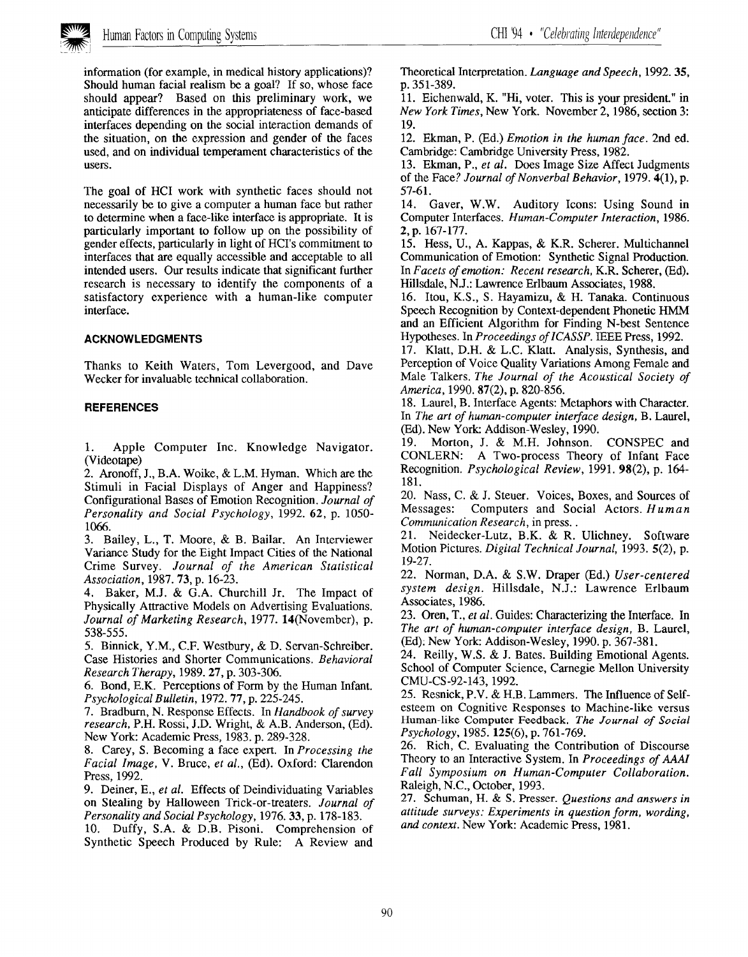

information (for example, in medical history applications)? Should human facial realism be a goal? If so, whose face should appear? Based on this preliminary work, we anticipate differences in the appropriateness of face-based interfaces depending on the social interaction demands of the situation, on the expression and gender of the faces used, and on individual temperament characteristics of the users.

The goal of HCI work with synthetic faces should not necessarily be to give a computer a human face but rather to determine when a face-like interface is appropriate. It is particularly important to follow up on the possibility of gender effects, particularly in light of HCI'S commitment to interfaces that are equally accessible and acceptable to all intended users. Our results indicate that significant further research is necessary to identify the components of a satisfactory experience with a human-like computer interface.

# ACKNOWLEDGMENTS

Thanks to Keith Waters, Tom Levergood, and Dave Wecker for invaluable technical collaboration.

## **REFERENCES**

1. Apple Computer Inc. Knowledge Navigator. ~Videotape)

2. Aronoff, J,, B.A. Woike, & L.M. Hyman. Which are the Stimuli in Facial Displays of Anger and Happiness? Configurational Bases of Emotion Recognition. Journal of Personality and Social Psychology, 1992. 62, p. 1050-1066.

3. Bailey, L., T. Moore, & B. Bailar. An Interviewer Variance Study for the Eight Impact Cities of the National Crime Survey. Journal of the American Statistical Association, 1987.73, p. 16-23.

4. Baker, M.J. & G.A. Churchill Jr. The Impact of Physically Attractive Models on Advertising Evaluations. Journal of Marketing Research, 1977. 14(November), p. 538-555.

5. Binnick, Y. M., C.F. Westbury, & D. Servan-Schreiber. Case Histories and Shorter Communications. Behavioral Research Therapy, 1989.27, p. 303-306.

6. Bond, E.K. Perceptions of Form by the Human Infant. Psychological Bulletin, 1972.77, p. 225-245.

7. Bradburn, N. Response Effects. In Handbook of survey research, P.H. Rossi, J.D. Wright, & A.B. Anderson, (Ed). New York: Academic Press, 1983. p. 289-328.

8. Carey, S. Becoming a face expert. In Processing the Facial Image, V. Bruce, et al., (Ed). Oxford: Clarendon Press, 1992.

9. Deiner, E., et al. Effects of Deindividuating Variables on Stealing by Halloween Trick-or-treaters. Journal of Personality and Social Psychology, 1976.33, p. 178-183.

10. Duffy, S.A. & D.B. Pisoni. Comprehension of Synthetic Speech Produced by Rule: A Review and

Theoretical Interpretation. Language and Speech, 1992.35, p. 351-389.

11. Eichenwald, K. "Hi, voter. This is your president." in New York Times, New York. November 2, 1986, section 3: 19.

12. Ekman, P. (Ed.) Emotion in the human face. 2nd ed. Cambridge: Cambridge University Press, 1982.

13. Ekman, P., et al. Does Image Size Affect Judgments of the Face? Journal of Nonverbal Behavior, 1979. 4(l), p. 57-61.

14. Gaver, W.W, Auditory Icons: Using Sound in Computer Interfaces. Human-Computer Interaction, 1986. 2, p. 167-177.

15. Hess, U., A. Kappas, & K.R, Scherer. Multichannel Communication of Emotion: Synthetic Signal Production. In Facets of emotion: Recent research, K.R. Scherer, (Ed). Hillsdale, N.J.: Lawrence Erlbaum Associates, 1988.

16. Itou, K.S., S. Hayamizu, & H. Tanaka. Continuous Speech Recognition by Context-dependent Phonetic HMM and an Efficient Algorithm for Finding N-best Sentence Hypotheses. In Proceedings of ICASSP. IEEE Press, 1992.

17. Klatt, D.H. & L.C. Klatt. Analysis, Synthesis, and Perception of Voice Quality Variations Among Female and Male Talkers. The Journal of the Acoustical Society of America, 1990. 87(2), p. 820-856.

18. Laurel, B. Interface Agents: Metaphors with Character. In The art of human-computer interface design, B. Laurel, (Ed). New York: Addison-Wesley, 1990.

19. Morton, J. & M.H. Johnson. CONSPEC and CONLERN: A Two-process Theory of Infant Face Recognition. Psychological Review, 1991, 98(2), p. 164- 181.

20. Nass, C. & J. Steuer. Voices, Boxes, and Sources of Messages: Computers and Social Actors. Human Communication Research, in press. .

21. Neidecker-Lutz, B.K. & R. Ulichney. Software Motion Pictures. Digital Technical Journal, 1993. 5(2), p. 19-27.

22. Norman, D.A. & S.W. Draper (Ed.) User-centered system design. Hillsdale, N.J.: Lawrence Erlbaum Associates, 1986.

23. Oren, T., et al. Guides: Characterizing the Interface. In The art of human-computer interface design, B. Laurel, (Ed). New York: Addison-Wesley, 1990. p. 367-381.

24. Reilly, W.S. & J. Bates. Building Emotional Agents. School of Computer Science, Carnegie Mellon University CMU-CS-92-143, 1992.

25. Resnick, P.V. & H.B. Lammers. The Influence of Self esteem on Cognitive Responses to Machine-like versus Human-like Computer Feedback, The Journal of Social Psychology, 1985. 125(6), p. 761-769.

26. Rich, C. Evaluating the Contribution of Discourse Theory to an Interactive System. In Proceedings of AAAl Fall Symposium on Human-Computer Collaboration. Raleigh, N.C., October, 1993.

27. Schuman, H. & S. Presser. Questions and answers in attitude surveys: Experiments in question form, wording, and context. New York: Academic Press, 1981.